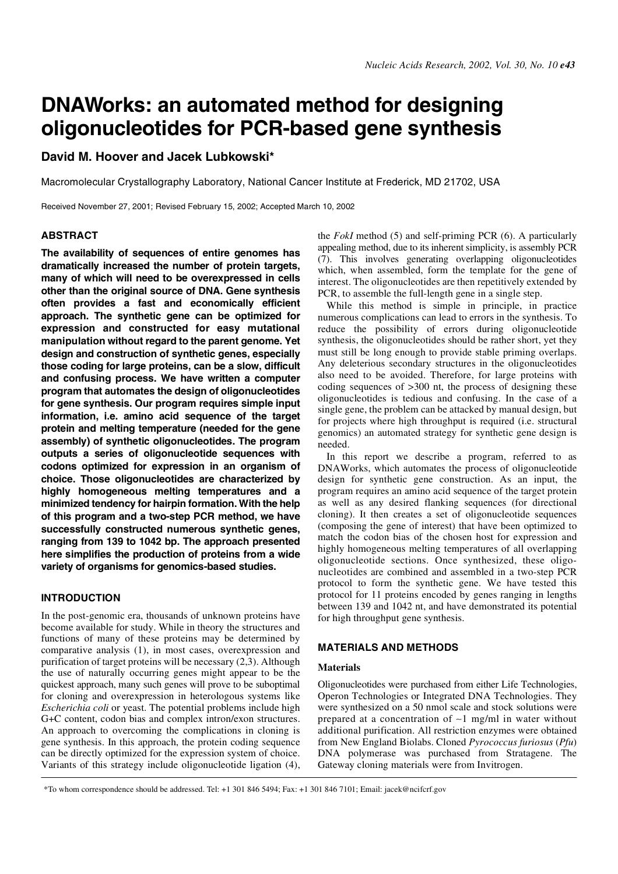# **DNAWorks: an automated method for designing oligonucleotides for PCR-based gene synthesis**

# **David M. Hoover and Jacek Lubkowski\***

Macromolecular Crystallography Laboratory, National Cancer Institute at Frederick, MD 21702, USA

Received November 27, 2001; Revised February 15, 2002; Accepted March 10, 2002

# **ABSTRACT**

**The availability of sequences of entire genomes has dramatically increased the number of protein targets, many of which will need to be overexpressed in cells other than the original source of DNA. Gene synthesis often provides a fast and economically efficient approach. The synthetic gene can be optimized for expression and constructed for easy mutational manipulation without regard to the parent genome. Yet design and construction of synthetic genes, especially those coding for large proteins, can be a slow, difficult and confusing process. We have written a computer program that automates the design of oligonucleotides for gene synthesis. Our program requires simple input information, i.e. amino acid sequence of the target protein and melting temperature (needed for the gene assembly) of synthetic oligonucleotides. The program outputs a series of oligonucleotide sequences with codons optimized for expression in an organism of choice. Those oligonucleotides are characterized by highly homogeneous melting temperatures and a minimized tendency for hairpin formation. With the help of this program and a two-step PCR method, we have successfully constructed numerous synthetic genes, ranging from 139 to 1042 bp. The approach presented here simplifies the production of proteins from a wide variety of organisms for genomics-based studies.**

# **INTRODUCTION**

In the post-genomic era, thousands of unknown proteins have become available for study. While in theory the structures and functions of many of these proteins may be determined by comparative analysis (1), in most cases, overexpression and purification of target proteins will be necessary (2,3). Although the use of naturally occurring genes might appear to be the quickest approach, many such genes will prove to be suboptimal for cloning and overexpression in heterologous systems like *Escherichia coli* or yeast. The potential problems include high G+C content, codon bias and complex intron/exon structures. An approach to overcoming the complications in cloning is gene synthesis. In this approach, the protein coding sequence can be directly optimized for the expression system of choice. Variants of this strategy include oligonucleotide ligation (4),

the *FokI* method (5) and self-priming PCR (6). A particularly appealing method, due to its inherent simplicity, is assembly PCR (7). This involves generating overlapping oligonucleotides which, when assembled, form the template for the gene of interest. The oligonucleotides are then repetitively extended by PCR, to assemble the full-length gene in a single step.

While this method is simple in principle, in practice numerous complications can lead to errors in the synthesis. To reduce the possibility of errors during oligonucleotide synthesis, the oligonucleotides should be rather short, yet they must still be long enough to provide stable priming overlaps. Any deleterious secondary structures in the oligonucleotides also need to be avoided. Therefore, for large proteins with coding sequences of >300 nt, the process of designing these oligonucleotides is tedious and confusing. In the case of a single gene, the problem can be attacked by manual design, but for projects where high throughput is required (i.e. structural genomics) an automated strategy for synthetic gene design is needed.

In this report we describe a program, referred to as DNAWorks, which automates the process of oligonucleotide design for synthetic gene construction. As an input, the program requires an amino acid sequence of the target protein as well as any desired flanking sequences (for directional cloning). It then creates a set of oligonucleotide sequences (composing the gene of interest) that have been optimized to match the codon bias of the chosen host for expression and highly homogeneous melting temperatures of all overlapping oligonucleotide sections. Once synthesized, these oligonucleotides are combined and assembled in a two-step PCR protocol to form the synthetic gene. We have tested this protocol for 11 proteins encoded by genes ranging in lengths between 139 and 1042 nt, and have demonstrated its potential for high throughput gene synthesis.

# **MATERIALS AND METHODS**

### **Materials**

Oligonucleotides were purchased from either Life Technologies, Operon Technologies or Integrated DNA Technologies. They were synthesized on a 50 nmol scale and stock solutions were prepared at a concentration of ∼1 mg/ml in water without additional purification. All restriction enzymes were obtained from New England Biolabs. Cloned *Pyrococcus furiosus* (*Pfu*) DNA polymerase was purchased from Stratagene. The Gateway cloning materials were from Invitrogen.

\*To whom correspondence should be addressed. Tel: +1 301 846 5494; Fax: +1 301 846 7101; Email: jacek@ncifcrf.gov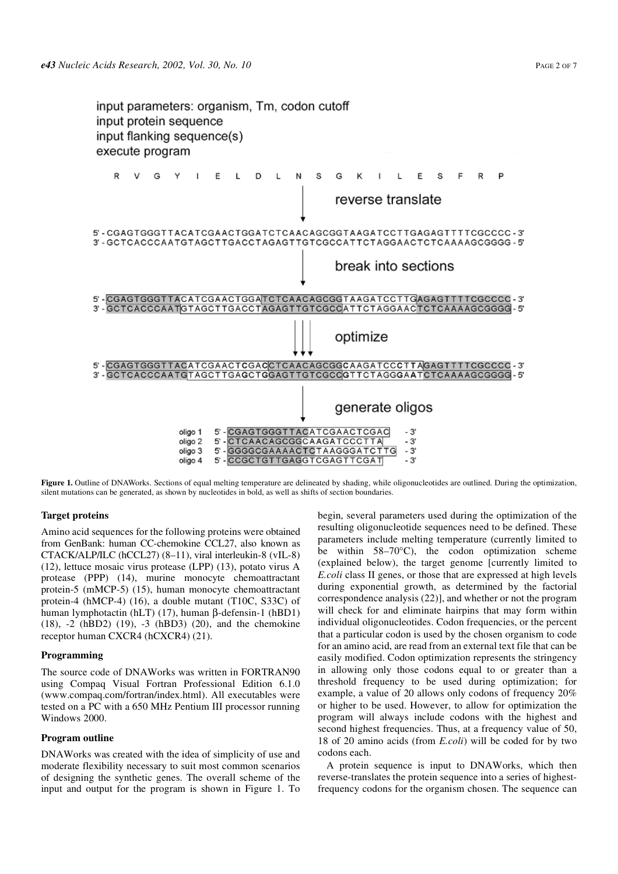

Figure 1. Outline of DNAWorks. Sections of equal melting temperature are delineated by shading, while oligonucleotides are outlined. During the optimization, silent mutations can be generated, as shown by nucleotides in bold, as well as shifts of section boundaries.

#### **Target proteins**

Amino acid sequences for the following proteins were obtained from GenBank: human CC-chemokine CCL27, also known as CTACK/ALP/ILC (hCCL27) (8–11), viral interleukin-8 (vIL-8) (12), lettuce mosaic virus protease (LPP) (13), potato virus A protease (PPP) (14), murine monocyte chemoattractant protein-5 (mMCP-5) (15), human monocyte chemoattractant protein-4 (hMCP-4) (16), a double mutant (T10C, S33C) of human lymphotactin (hLT) (17), human β-defensin-1 (hBD1) (18), -2 (hBD2) (19), -3 (hBD3) (20), and the chemokine receptor human CXCR4 (hCXCR4) (21).

## **Programming**

The source code of DNAWorks was written in FORTRAN90 using Compaq Visual Fortran Professional Edition 6.1.0 (www.compaq.com/fortran/index.html). All executables were tested on a PC with a 650 MHz Pentium III processor running Windows 2000.

## **Program outline**

DNAWorks was created with the idea of simplicity of use and moderate flexibility necessary to suit most common scenarios of designing the synthetic genes. The overall scheme of the input and output for the program is shown in Figure 1. To begin, several parameters used during the optimization of the resulting oligonucleotide sequences need to be defined. These parameters include melting temperature (currently limited to be within 58–70°C), the codon optimization scheme (explained below), the target genome [currently limited to *E.coli* class II genes, or those that are expressed at high levels during exponential growth, as determined by the factorial correspondence analysis (22)], and whether or not the program will check for and eliminate hairpins that may form within individual oligonucleotides. Codon frequencies, or the percent that a particular codon is used by the chosen organism to code for an amino acid, are read from an external text file that can be easily modified. Codon optimization represents the stringency in allowing only those codons equal to or greater than a threshold frequency to be used during optimization; for example, a value of 20 allows only codons of frequency 20% or higher to be used. However, to allow for optimization the program will always include codons with the highest and second highest frequencies. Thus, at a frequency value of 50, 18 of 20 amino acids (from *E.coli*) will be coded for by two codons each.

A protein sequence is input to DNAWorks, which then reverse-translates the protein sequence into a series of highestfrequency codons for the organism chosen. The sequence can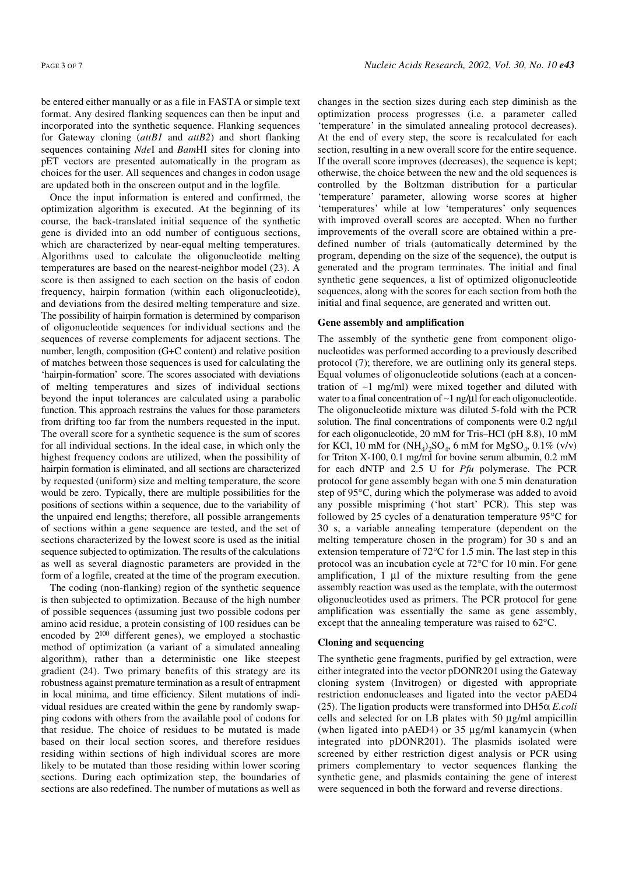be entered either manually or as a file in FASTA or simple text format. Any desired flanking sequences can then be input and incorporated into the synthetic sequence. Flanking sequences for Gateway cloning (*attB1* and *attB2*) and short flanking sequences containing *Nde*I and *Bam*HI sites for cloning into pET vectors are presented automatically in the program as choices for the user. All sequences and changes in codon usage are updated both in the onscreen output and in the logfile.

Once the input information is entered and confirmed, the optimization algorithm is executed. At the beginning of its course, the back-translated initial sequence of the synthetic gene is divided into an odd number of contiguous sections, which are characterized by near-equal melting temperatures. Algorithms used to calculate the oligonucleotide melting temperatures are based on the nearest-neighbor model (23). A score is then assigned to each section on the basis of codon frequency, hairpin formation (within each oligonucleotide), and deviations from the desired melting temperature and size. The possibility of hairpin formation is determined by comparison of oligonucleotide sequences for individual sections and the sequences of reverse complements for adjacent sections. The number, length, composition (G+C content) and relative position of matches between those sequences is used for calculating the 'hairpin-formation' score. The scores associated with deviations of melting temperatures and sizes of individual sections beyond the input tolerances are calculated using a parabolic function. This approach restrains the values for those parameters from drifting too far from the numbers requested in the input. The overall score for a synthetic sequence is the sum of scores for all individual sections. In the ideal case, in which only the highest frequency codons are utilized, when the possibility of hairpin formation is eliminated, and all sections are characterized by requested (uniform) size and melting temperature, the score would be zero. Typically, there are multiple possibilities for the positions of sections within a sequence, due to the variability of the unpaired end lengths; therefore, all possible arrangements of sections within a gene sequence are tested, and the set of sections characterized by the lowest score is used as the initial sequence subjected to optimization. The results of the calculations as well as several diagnostic parameters are provided in the form of a logfile, created at the time of the program execution.

The coding (non-flanking) region of the synthetic sequence is then subjected to optimization. Because of the high number of possible sequences (assuming just two possible codons per amino acid residue, a protein consisting of 100 residues can be encoded by 2100 different genes), we employed a stochastic method of optimization (a variant of a simulated annealing algorithm), rather than a deterministic one like steepest gradient (24). Two primary benefits of this strategy are its robustness against premature termination as a result of entrapment in local minima, and time efficiency. Silent mutations of individual residues are created within the gene by randomly swapping codons with others from the available pool of codons for that residue. The choice of residues to be mutated is made based on their local section scores, and therefore residues residing within sections of high individual scores are more likely to be mutated than those residing within lower scoring sections. During each optimization step, the boundaries of sections are also redefined. The number of mutations as well as

changes in the section sizes during each step diminish as the optimization process progresses (i.e. a parameter called 'temperature' in the simulated annealing protocol decreases). At the end of every step, the score is recalculated for each section, resulting in a new overall score for the entire sequence. If the overall score improves (decreases), the sequence is kept; otherwise, the choice between the new and the old sequences is controlled by the Boltzman distribution for a particular 'temperature' parameter, allowing worse scores at higher 'temperatures' while at low 'temperatures' only sequences with improved overall scores are accepted. When no further improvements of the overall score are obtained within a predefined number of trials (automatically determined by the program, depending on the size of the sequence), the output is generated and the program terminates. The initial and final synthetic gene sequences, a list of optimized oligonucleotide sequences, along with the scores for each section from both the initial and final sequence, are generated and written out.

#### **Gene assembly and amplification**

The assembly of the synthetic gene from component oligonucleotides was performed according to a previously described protocol (7); therefore, we are outlining only its general steps. Equal volumes of oligonucleotide solutions (each at a concentration of ∼1 mg/ml) were mixed together and diluted with water to a final concentration of ∼1 ng/µl for each oligonucleotide. The oligonucleotide mixture was diluted 5-fold with the PCR solution. The final concentrations of components were 0.2 ng/ $\mu$ l for each oligonucleotide, 20 mM for Tris–HCl (pH 8.8), 10 mM for KCl, 10 mM for  $(NH_4)_2SO_4$ , 6 mM for  $MgSO_4$ , 0.1%  $(v/v)$ for Triton X-100, 0.1 mg/ml for bovine serum albumin, 0.2 mM for each dNTP and 2.5 U for *Pfu* polymerase. The PCR protocol for gene assembly began with one 5 min denaturation step of 95°C, during which the polymerase was added to avoid any possible mispriming ('hot start' PCR). This step was followed by 25 cycles of a denaturation temperature 95°C for 30 s, a variable annealing temperature (dependent on the melting temperature chosen in the program) for 30 s and an extension temperature of 72°C for 1.5 min. The last step in this protocol was an incubation cycle at 72°C for 10 min. For gene amplification, 1 µl of the mixture resulting from the gene assembly reaction was used as the template, with the outermost oligonucleotides used as primers. The PCR protocol for gene amplification was essentially the same as gene assembly, except that the annealing temperature was raised to 62°C.

#### **Cloning and sequencing**

The synthetic gene fragments, purified by gel extraction, were either integrated into the vector pDONR201 using the Gateway cloning system (Invitrogen) or digested with appropriate restriction endonucleases and ligated into the vector pAED4 (25). The ligation products were transformed into DH5α *E.coli* cells and selected for on LB plates with 50 µg/ml ampicillin (when ligated into pAED4) or 35 µg/ml kanamycin (when integrated into pDONR201). The plasmids isolated were screened by either restriction digest analysis or PCR using primers complementary to vector sequences flanking the synthetic gene, and plasmids containing the gene of interest were sequenced in both the forward and reverse directions.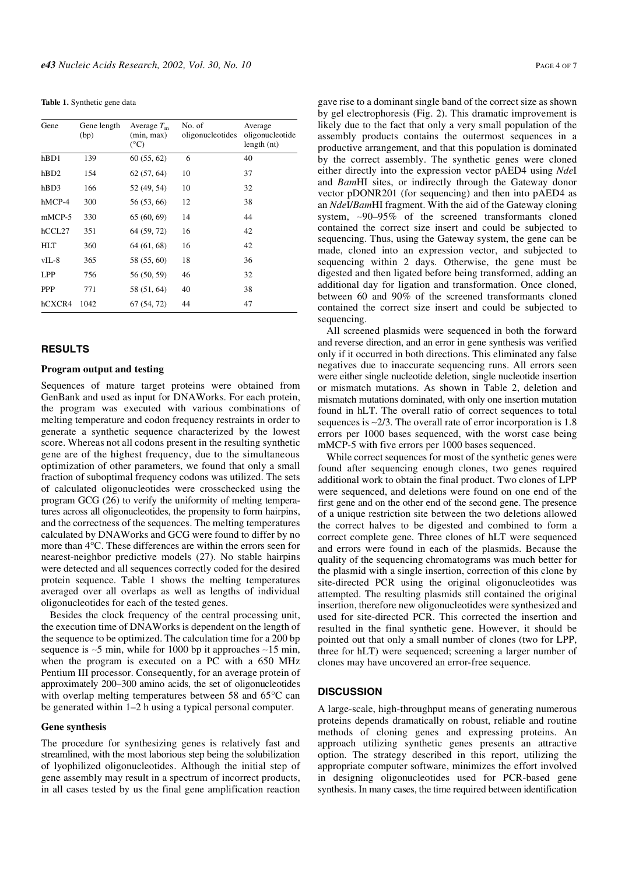**Table 1.** Synthetic gene data

| Gene       | Gene length<br>(bp) | Average $T_m$<br>(min, max)<br>$(^{\circ}C)$ | No. of<br>oligonucleotides | Average<br>oligonucleotide<br>length (nt) |
|------------|---------------------|----------------------------------------------|----------------------------|-------------------------------------------|
| hBD1       | 139                 | 60(55, 62)                                   | 6                          | 40                                        |
| hBD2       | 154                 | 62(57, 64)                                   | 10                         | 37                                        |
| hBD3       | 166                 | 52 (49, 54)                                  | 10                         | 32                                        |
| $hMCP-4$   | 300                 | 56 (53, 66)                                  | 12                         | 38                                        |
| mMCP-5     | 330                 | 65 (60, 69)                                  | 14                         | 44                                        |
| hCCL27     | 351                 | 64 (59, 72)                                  | 16                         | 42                                        |
| HLT        | 360                 | 64 (61, 68)                                  | 16                         | 42                                        |
| $VIL-8$    | 365                 | 58 (55, 60)                                  | 18                         | 36                                        |
| LPP        | 756                 | 56 (50, 59)                                  | 46                         | 32                                        |
| <b>PPP</b> | 771                 | 58 (51, 64)                                  | 40                         | 38                                        |
| hCXCR4     | 1042                | 67 (54, 72)                                  | 44                         | 47                                        |

#### **RESULTS**

#### **Program output and testing**

Sequences of mature target proteins were obtained from GenBank and used as input for DNAWorks. For each protein, the program was executed with various combinations of melting temperature and codon frequency restraints in order to generate a synthetic sequence characterized by the lowest score. Whereas not all codons present in the resulting synthetic gene are of the highest frequency, due to the simultaneous optimization of other parameters, we found that only a small fraction of suboptimal frequency codons was utilized. The sets of calculated oligonucleotides were crosschecked using the program GCG (26) to verify the uniformity of melting temperatures across all oligonucleotides, the propensity to form hairpins, and the correctness of the sequences. The melting temperatures calculated by DNAWorks and GCG were found to differ by no more than 4°C. These differences are within the errors seen for nearest-neighbor predictive models (27). No stable hairpins were detected and all sequences correctly coded for the desired protein sequence. Table 1 shows the melting temperatures averaged over all overlaps as well as lengths of individual oligonucleotides for each of the tested genes.

Besides the clock frequency of the central processing unit, the execution time of DNAWorks is dependent on the length of the sequence to be optimized. The calculation time for a 200 bp sequence is ∼5 min, while for 1000 bp it approaches ∼15 min, when the program is executed on a PC with a 650 MHz Pentium III processor. Consequently, for an average protein of approximately 200–300 amino acids, the set of oligonucleotides with overlap melting temperatures between 58 and 65°C can be generated within 1–2 h using a typical personal computer.

#### **Gene synthesis**

The procedure for synthesizing genes is relatively fast and streamlined, with the most laborious step being the solubilization of lyophilized oligonucleotides. Although the initial step of gene assembly may result in a spectrum of incorrect products, in all cases tested by us the final gene amplification reaction gave rise to a dominant single band of the correct size as shown by gel electrophoresis (Fig. 2). This dramatic improvement is likely due to the fact that only a very small population of the assembly products contains the outermost sequences in a productive arrangement, and that this population is dominated by the correct assembly. The synthetic genes were cloned either directly into the expression vector pAED4 using *Nde*I and *Bam*HI sites, or indirectly through the Gateway donor vector pDONR201 (for sequencing) and then into pAED4 as an *Nde*I/*Bam*HI fragment. With the aid of the Gateway cloning system, ∼90–95% of the screened transformants cloned contained the correct size insert and could be subjected to sequencing. Thus, using the Gateway system, the gene can be made, cloned into an expression vector, and subjected to sequencing within 2 days. Otherwise, the gene must be digested and then ligated before being transformed, adding an additional day for ligation and transformation. Once cloned, between 60 and 90% of the screened transformants cloned contained the correct size insert and could be subjected to sequencing.

All screened plasmids were sequenced in both the forward and reverse direction, and an error in gene synthesis was verified only if it occurred in both directions. This eliminated any false negatives due to inaccurate sequencing runs. All errors seen were either single nucleotide deletion, single nucleotide insertion or mismatch mutations. As shown in Table 2, deletion and mismatch mutations dominated, with only one insertion mutation found in hLT. The overall ratio of correct sequences to total sequences is ∼2/3. The overall rate of error incorporation is 1.8 errors per 1000 bases sequenced, with the worst case being mMCP-5 with five errors per 1000 bases sequenced.

While correct sequences for most of the synthetic genes were found after sequencing enough clones, two genes required additional work to obtain the final product. Two clones of LPP were sequenced, and deletions were found on one end of the first gene and on the other end of the second gene. The presence of a unique restriction site between the two deletions allowed the correct halves to be digested and combined to form a correct complete gene. Three clones of hLT were sequenced and errors were found in each of the plasmids. Because the quality of the sequencing chromatograms was much better for the plasmid with a single insertion, correction of this clone by site-directed PCR using the original oligonucleotides was attempted. The resulting plasmids still contained the original insertion, therefore new oligonucleotides were synthesized and used for site-directed PCR. This corrected the insertion and resulted in the final synthetic gene. However, it should be pointed out that only a small number of clones (two for LPP, three for hLT) were sequenced; screening a larger number of clones may have uncovered an error-free sequence.

# **DISCUSSION**

A large-scale, high-throughput means of generating numerous proteins depends dramatically on robust, reliable and routine methods of cloning genes and expressing proteins. An approach utilizing synthetic genes presents an attractive option. The strategy described in this report, utilizing the appropriate computer software, minimizes the effort involved in designing oligonucleotides used for PCR-based gene synthesis. In many cases, the time required between identification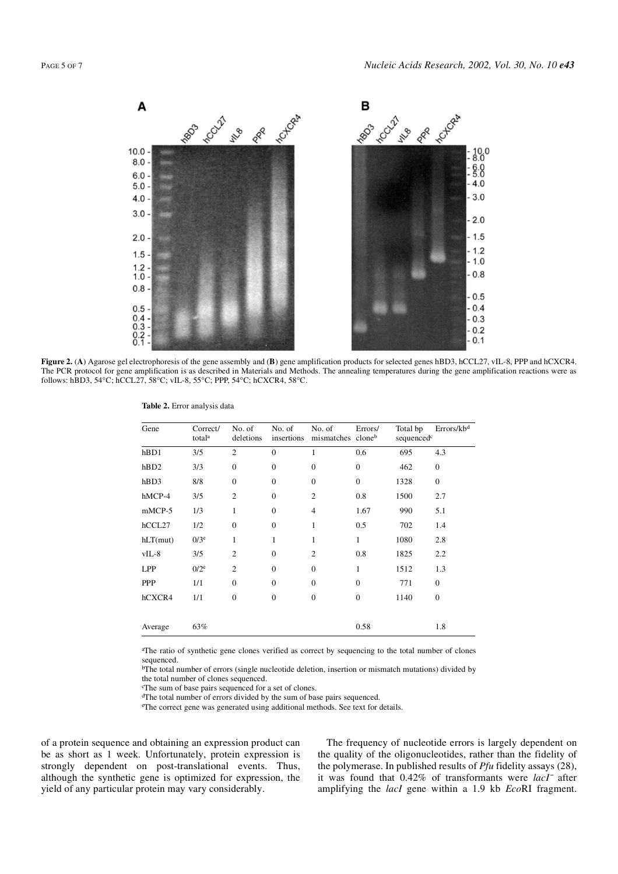

**Figure 2.** (**A**) Agarose gel electrophoresis of the gene assembly and (**B**) gene amplification products for selected genes hBD3, hCCL27, vIL-8, PPP and hCXCR4. The PCR protocol for gene amplification is as described in Materials and Methods. The annealing temperatures during the gene amplification reactions were as follows: hBD3, 54°C; hCCL27, 58°C; vIL-8, 55°C; PPP, 54°C; hCXCR4, 58°C.

| Gene       | Correct/<br>total <sup>a</sup> | No. of<br>deletions | No. of<br>insertions | No. of<br>mismatches cloneb | Errors/        | Total bp<br>sequenced <sup>c</sup> | Errors/kb <sup>d</sup> |
|------------|--------------------------------|---------------------|----------------------|-----------------------------|----------------|------------------------------------|------------------------|
| hBD1       | 3/5                            | $\overline{2}$      | $\Omega$             | 1                           | 0.6            | 695                                | 4.3                    |
| hBD2       | 3/3                            | $\mathbf{0}$        | $\mathbf{0}$         | $\overline{0}$              | $\overline{0}$ | 462                                | $\mathbf{0}$           |
| hBD3       | 8/8                            | $\Omega$            | $\Omega$             | $\Omega$                    | $\overline{0}$ | 1328                               | $\mathbf{0}$           |
| $hMCP-4$   | 3/5                            | 2                   | $\Omega$             | 2                           | 0.8            | 1500                               | 2.7                    |
| $mMCP-5$   | 1/3                            | 1                   | $\mathbf{0}$         | $\overline{4}$              | 1.67           | 990                                | 5.1                    |
| hCCL27     | 1/2                            | $\Omega$            | $\Omega$             | 1                           | 0.5            | 702                                | 1.4                    |
| hLT(mut)   | 0/3 <sup>e</sup>               | 1                   | 1                    | 1                           | $\mathbf{1}$   | 1080                               | 2.8                    |
| $VIL-8$    | 3/5                            | $\overline{2}$      | $\Omega$             | 2                           | 0.8            | 1825                               | 2.2                    |
| <b>LPP</b> | 0/2 <sup>e</sup>               | $\overline{2}$      | $\Omega$             | $\mathbf{0}$                | 1              | 1512                               | 1.3                    |
| <b>PPP</b> | 1/1                            | $\Omega$            | $\Omega$             | $\overline{0}$              | $\Omega$       | 771                                | $\mathbf{0}$           |
| hCXCR4     | 1/1                            | $\Omega$            | $\Omega$             | $\Omega$                    | $\Omega$       | 1140                               | $\mathbf{0}$           |
| Average    | 63%                            |                     |                      |                             | 0.58           |                                    | 1.8                    |

#### **Table 2.** Error analysis data

a The ratio of synthetic gene clones verified as correct by sequencing to the total number of clones sequenced.

b The total number of errors (single nucleotide deletion, insertion or mismatch mutations) divided by the total number of clones sequenced.

The sum of base pairs sequenced for a set of clones.

d The total number of errors divided by the sum of base pairs sequenced.

e The correct gene was generated using additional methods. See text for details.

of a protein sequence and obtaining an expression product can be as short as 1 week. Unfortunately, protein expression is strongly dependent on post-translational events. Thus, although the synthetic gene is optimized for expression, the yield of any particular protein may vary considerably.

The frequency of nucleotide errors is largely dependent on the quality of the oligonucleotides, rather than the fidelity of the polymerase. In published results of *Pfu* fidelity assays (28), it was found that 0.42% of transformants were *lacI¯* after amplifying the *lacI* gene within a 1.9 kb *Eco*RI fragment.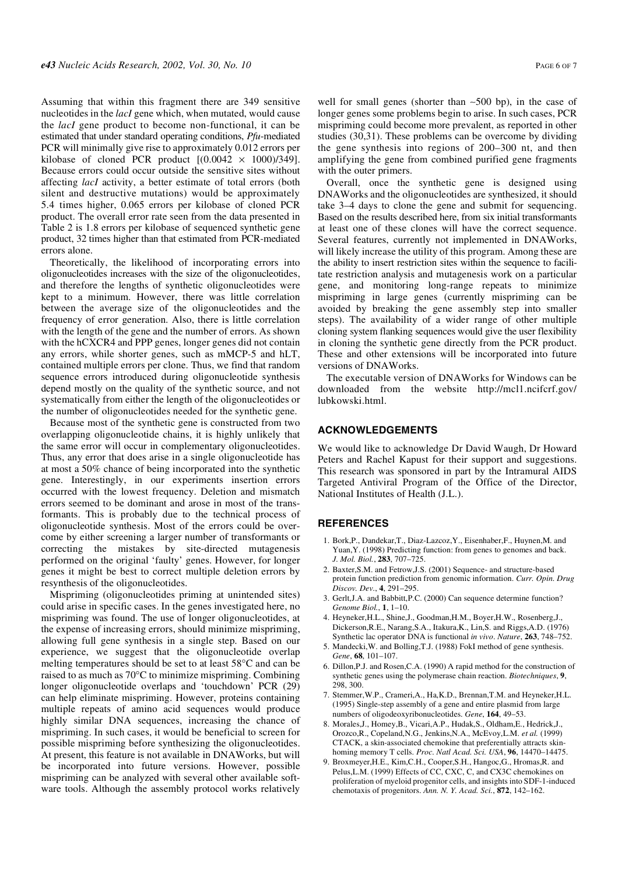Assuming that within this fragment there are 349 sensitive nucleotides in the *lacI* gene which, when mutated, would cause the *lacI* gene product to become non-functional, it can be estimated that under standard operating conditions, *Pfu*-mediated PCR will minimally give rise to approximately 0.012 errors per kilobase of cloned PCR product  $[(0.0042 \times 1000)/349]$ . Because errors could occur outside the sensitive sites without affecting *lacI* activity, a better estimate of total errors (both silent and destructive mutations) would be approximately 5.4 times higher, 0.065 errors per kilobase of cloned PCR product. The overall error rate seen from the data presented in Table 2 is 1.8 errors per kilobase of sequenced synthetic gene product, 32 times higher than that estimated from PCR-mediated errors alone.

Theoretically, the likelihood of incorporating errors into oligonucleotides increases with the size of the oligonucleotides, and therefore the lengths of synthetic oligonucleotides were kept to a minimum. However, there was little correlation between the average size of the oligonucleotides and the frequency of error generation. Also, there is little correlation with the length of the gene and the number of errors. As shown with the hCXCR4 and PPP genes, longer genes did not contain any errors, while shorter genes, such as mMCP-5 and hLT, contained multiple errors per clone. Thus, we find that random sequence errors introduced during oligonucleotide synthesis depend mostly on the quality of the synthetic source, and not systematically from either the length of the oligonucleotides or the number of oligonucleotides needed for the synthetic gene.

Because most of the synthetic gene is constructed from two overlapping oligonucleotide chains, it is highly unlikely that the same error will occur in complementary oligonucleotides. Thus, any error that does arise in a single oligonucleotide has at most a 50% chance of being incorporated into the synthetic gene. Interestingly, in our experiments insertion errors occurred with the lowest frequency. Deletion and mismatch errors seemed to be dominant and arose in most of the transformants. This is probably due to the technical process of oligonucleotide synthesis. Most of the errors could be overcome by either screening a larger number of transformants or correcting the mistakes by site-directed mutagenesis performed on the original 'faulty' genes. However, for longer genes it might be best to correct multiple deletion errors by resynthesis of the oligonucleotides.

Mispriming (oligonucleotides priming at unintended sites) could arise in specific cases. In the genes investigated here, no mispriming was found. The use of longer oligonucleotides, at the expense of increasing errors, should minimize mispriming, allowing full gene synthesis in a single step. Based on our experience, we suggest that the oligonucleotide overlap melting temperatures should be set to at least 58°C and can be raised to as much as 70°C to minimize mispriming. Combining longer oligonucleotide overlaps and 'touchdown' PCR (29) can help eliminate mispriming. However, proteins containing multiple repeats of amino acid sequences would produce highly similar DNA sequences, increasing the chance of mispriming. In such cases, it would be beneficial to screen for possible mispriming before synthesizing the oligonucleotides. At present, this feature is not available in DNAWorks, but will be incorporated into future versions. However, possible mispriming can be analyzed with several other available software tools. Although the assembly protocol works relatively well for small genes (shorter than ∼500 bp), in the case of longer genes some problems begin to arise. In such cases, PCR mispriming could become more prevalent, as reported in other studies (30,31). These problems can be overcome by dividing the gene synthesis into regions of 200–300 nt, and then amplifying the gene from combined purified gene fragments with the outer primers.

Overall, once the synthetic gene is designed using DNAWorks and the oligonucleotides are synthesized, it should take 3–4 days to clone the gene and submit for sequencing. Based on the results described here, from six initial transformants at least one of these clones will have the correct sequence. Several features, currently not implemented in DNAWorks, will likely increase the utility of this program. Among these are the ability to insert restriction sites within the sequence to facilitate restriction analysis and mutagenesis work on a particular gene, and monitoring long-range repeats to minimize mispriming in large genes (currently mispriming can be avoided by breaking the gene assembly step into smaller steps). The availability of a wider range of other multiple cloning system flanking sequences would give the user flexibility in cloning the synthetic gene directly from the PCR product. These and other extensions will be incorporated into future versions of DNAWorks.

The executable version of DNAWorks for Windows can be downloaded from the website http://mcl1.ncifcrf.gov/ lubkowski.html.

## **ACKNOWLEDGEMENTS**

We would like to acknowledge Dr David Waugh, Dr Howard Peters and Rachel Kapust for their support and suggestions. This research was sponsored in part by the Intramural AIDS Targeted Antiviral Program of the Office of the Director, National Institutes of Health (J.L.).

## **REFERENCES**

- 1. Bork,P., Dandekar,T., Diaz-Lazcoz,Y., Eisenhaber,F., Huynen,M. and Yuan,Y. (1998) Predicting function: from genes to genomes and back. *J. Mol. Biol.*, **283**, 707–725.
- 2. Baxter,S.M. and Fetrow,J.S. (2001) Sequence- and structure-based protein function prediction from genomic information. *Curr. Opin. Drug Discov. Dev.*, **4**, 291–295.
- 3. Gerlt,J.A. and Babbitt,P.C. (2000) Can sequence determine function? *Genome Biol.*, **1**, 1–10.
- 4. Heyneker,H.L., Shine,J., Goodman,H.M., Boyer,H.W., Rosenberg,J., Dickerson,R.E., Narang,S.A., Itakura,K., Lin,S. and Riggs,A.D. (1976) Synthetic lac operator DNA is functional *in vivo*. *Nature*, **263**, 748–752.
- 5. Mandecki,W. and Bolling,T.J. (1988) FokI method of gene synthesis. *Gene*, **68**, 101–107.
- 6. Dillon,P.J. and Rosen,C.A. (1990) A rapid method for the construction of synthetic genes using the polymerase chain reaction. *Biotechniques*, **9**, 298, 300.
- 7. Stemmer,W.P., Crameri,A., Ha,K.D., Brennan,T.M. and Heyneker,H.L. (1995) Single-step assembly of a gene and entire plasmid from large numbers of oligodeoxyribonucleotides. *Gene*, **164**, 49–53.
- 8. Morales,J., Homey,B., Vicari,A.P., Hudak,S., Oldham,E., Hedrick,J., Orozco,R., Copeland,N.G., Jenkins,N.A., McEvoy,L.M. *et al.* (1999) CTACK, a skin-associated chemokine that preferentially attracts skinhoming memory T cells. *Proc. Natl Acad. Sci. USA*, **96**, 14470–14475.
- 9. Broxmeyer,H.E., Kim,C.H., Cooper,S.H., Hangoc,G., Hromas,R. and Pelus,L.M. (1999) Effects of CC, CXC, C, and CX3C chemokines on proliferation of myeloid progenitor cells, and insights into SDF-1-induced chemotaxis of progenitors. *Ann. N. Y. Acad. Sci.*, **872**, 142–162.